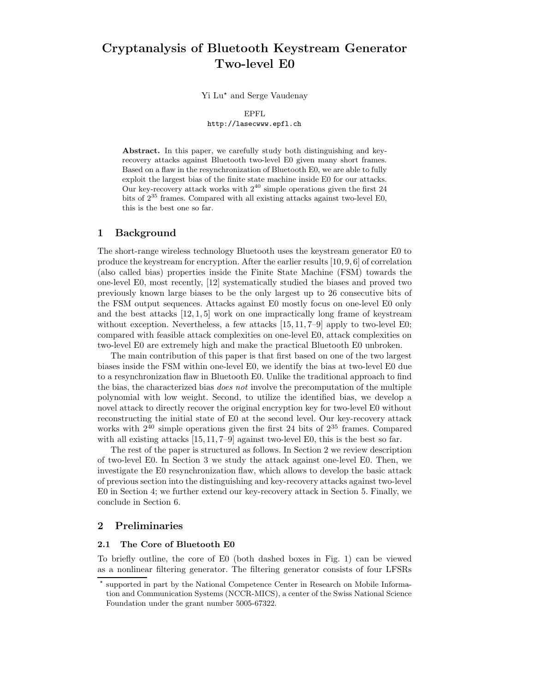# Cryptanalysis of Bluetooth Keystream Generator Two-level E0

Yi Lu<sup>\*</sup> and Serge Vaudenay

EPFL

http://lasecwww.epfl.ch

Abstract. In this paper, we carefully study both distinguishing and keyrecovery attacks against Bluetooth two-level E0 given many short frames. Based on a flaw in the resynchronization of Bluetooth E0, we are able to fully exploit the largest bias of the finite state machine inside E0 for our attacks. Our key-recovery attack works with  $2^{40}$  simple operations given the first 24 bits of  $2^{35}$  frames. Compared with all existing attacks against two-level E0, this is the best one so far.

# 1 Background

The short-range wireless technology Bluetooth uses the keystream generator E0 to produce the keystream for encryption. After the earlier results [10, 9, 6] of correlation (also called bias) properties inside the Finite State Machine (FSM) towards the one-level E0, most recently, [12] systematically studied the biases and proved two previously known large biases to be the only largest up to 26 consecutive bits of the FSM output sequences. Attacks against E0 mostly focus on one-level E0 only and the best attacks [12, 1, 5] work on one impractically long frame of keystream without exception. Nevertheless, a few attacks  $[15, 11, 7-9]$  apply to two-level E0; compared with feasible attack complexities on one-level E0, attack complexities on two-level E0 are extremely high and make the practical Bluetooth E0 unbroken.

The main contribution of this paper is that first based on one of the two largest biases inside the FSM within one-level E0, we identify the bias at two-level E0 due to a resynchronization flaw in Bluetooth E0. Unlike the traditional approach to find the bias, the characterized bias *does not* involve the precomputation of the multiple polynomial with low weight. Second, to utilize the identified bias, we develop a novel attack to directly recover the original encryption key for two-level E0 without reconstructing the initial state of E0 at the second level. Our key-recovery attack works with  $2^{40}$  simple operations given the first 24 bits of  $2^{35}$  frames. Compared with all existing attacks [15, 11, 7–9] against two-level E0, this is the best so far.

The rest of the paper is structured as follows. In Section 2 we review description of two-level E0. In Section 3 we study the attack against one-level E0. Then, we investigate the E0 resynchronization flaw, which allows to develop the basic attack of previous section into the distinguishing and key-recovery attacks against two-level E0 in Section 4; we further extend our key-recovery attack in Section 5. Finally, we conclude in Section 6.

# 2 Preliminaries

### 2.1 The Core of Bluetooth E0

To briefly outline, the core of E0 (both dashed boxes in Fig. 1) can be viewed as a nonlinear filtering generator. The filtering generator consists of four LFSRs

<sup>?</sup> supported in part by the National Competence Center in Research on Mobile Information and Communication Systems (NCCR-MICS), a center of the Swiss National Science Foundation under the grant number 5005-67322.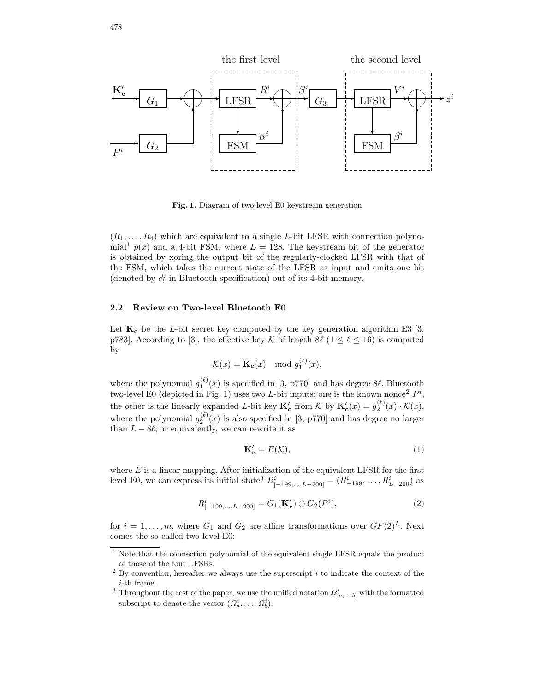

Fig. 1. Diagram of two-level E0 keystream generation

 $(R_1, \ldots, R_4)$  which are equivalent to a single L-bit LFSR with connection polynomial<sup>1</sup>  $p(x)$  and a 4-bit FSM, where  $L = 128$ . The keystream bit of the generator is obtained by xoring the output bit of the regularly-clocked LFSR with that of the FSM, which takes the current state of the LFSR as input and emits one bit (denoted by  $c_t^0$  in Bluetooth specification) out of its 4-bit memory.

### 2.2 Review on Two-level Bluetooth E0

Let  $\mathbf{K_c}$  be the L-bit secret key computed by the key generation algorithm E3 [3, p783]. According to [3], the effective key K of length  $8\ell$  ( $1 \leq \ell \leq 16$ ) is computed by

$$
\mathcal{K}(x) = \mathbf{K_c}(x) \mod g_1^{(\ell)}(x),
$$

where the polynomial  $g_1^{(\ell)}(x)$  is specified in [3, p770] and has degree 8 $\ell$ . Bluetooth two-level E0 (depicted in Fig. 1) uses two *L*-bit inputs: one is the known nonce<sup>2</sup>  $P<sup>i</sup>$ , the other is the linearly expanded L-bit key  $\mathbf{K}_{c}'$  from K by  $\mathbf{K}_{c}'(x) = g_{2}^{(\ell)}(x) \cdot \mathcal{K}(x)$ , where the polynomial  $g_2^{(\ell)}(x)$  is also specified in [3, p770] and has degree no larger than  $L - 8\ell$ ; or equivalently, we can rewrite it as

$$
\mathbf{K_c'} = E(\mathcal{K}),\tag{1}
$$

where  $E$  is a linear mapping. After initialization of the equivalent LFSR for the first level E0, we can express its initial state<sup>3</sup>  $R^i_{[-199,...,L-200]} = (R^i_{-199}, \ldots, R^i_{L-200})$  as

$$
R_{[-199,\ldots,L-200]}^{i} = G_1(\mathbf{K_c'}) \oplus G_2(P^i),\tag{2}
$$

for  $i = 1, ..., m$ , where  $G_1$  and  $G_2$  are affine transformations over  $GF(2)<sup>L</sup>$ . Next comes the so-called two-level E0:

<sup>&</sup>lt;sup>1</sup> Note that the connection polynomial of the equivalent single LFSR equals the product of those of the four LFSRs.

 $^2$  By convention, hereafter we always use the superscript  $i$  to indicate the context of the i-th frame.

<sup>&</sup>lt;sup>3</sup> Throughout the rest of the paper, we use the unified notation  $\Omega_{[a,...,b]}^i$  with the formatted subscript to denote the vector  $(\Omega_a^i, \ldots, \Omega_b^i)$ .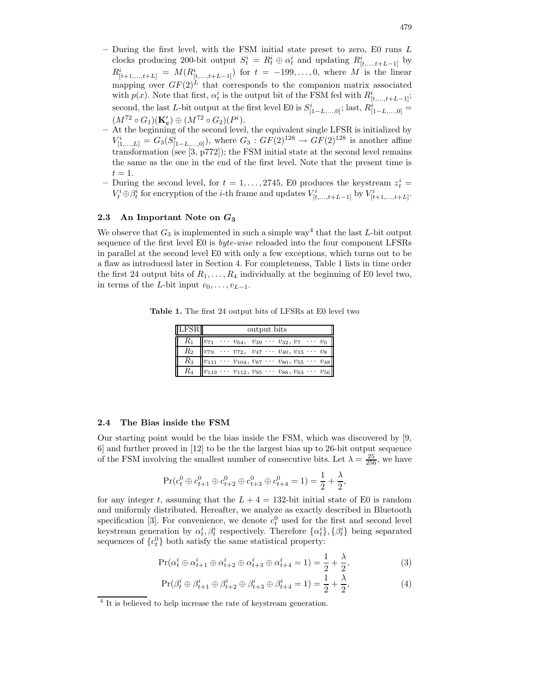- $-$  During the first level, with the FSM initial state preset to zero, E0 runs  $L$ clocks producing 200-bit output  $S_t^i = R_t^i \oplus \alpha_t^i$  and updating  $R_{[t,\ldots,t+L-1]}^i$  by  $R^i_{[t+1,...,t+L]} = M(R^i_{[t,...,t+L-1]})$  for  $t = -199,...,0$ , where M is the linear mapping over  $GF(2)^{L}$  that corresponds to the companion matrix associated with  $p(x)$ . Note that first,  $\alpha_t^i$  is the output bit of the FSM fed with  $R^i_{[t,\ldots,t+L-1]};$ second, the last L-bit output at the first level E0 is  $S^i_{[1-L,\ldots,0]}$ ; last,  $R^i_{[1-L,\ldots,0]}$  $(M^{72} \circ G_1)(\mathbf{K_c'}) \oplus (M^{72} \circ G_2)(P^i).$
- At the beginning of the second level, the equivalent single LFSR is initialized by  $V^i_{[1,...,L]} = G_3(S^i_{[1-L,...,0]})$ , where  $G_3: GF(2)^{128} \to GF(2)^{128}$  is another affine transformation (see [3, p772]); the FSM initial state at the second level remains the same as the one in the end of the first level. Note that the present time is  $t=1$ .
- During the second level, for  $t = 1, \ldots, 2745$ , E0 produces the keystream  $z_t^i$  =  $V_t^i \oplus \beta_t^i$  for encryption of the *i*-th frame and updates  $V_{[t,\ldots,t+L-1]}^i$  by  $V_{[t+1,\ldots,t+L]}^i$ .

### 2.3 An Important Note on  $G_3$

We observe that  $G_3$  is implemented in such a simple way<sup>4</sup> that the last L-bit output sequence of the first level E0 is *byte-wise* reloaded into the four component LFSRs in parallel at the second level E0 with only a few exceptions, which turns out to be a flaw as introduced later in Section 4. For completeness, Table 1 lists in time order the first 24 output bits of  $R_1, \ldots, R_4$  individually at the beginning of E0 level two, in terms of the L-bit input  $v_0, \ldots, v_{L-1}$ .

Table 1. The first 24 output bits of LFSRs at E0 level two

| <b>LFSR</b> | output bits                                                              |  |  |  |  |  |  |
|-------------|--------------------------------------------------------------------------|--|--|--|--|--|--|
| $R_{1}$     | $ v_{71} $<br>$\cdots v_{64}, v_{39} \cdots v_{32}, v_7 \cdots v_0$      |  |  |  |  |  |  |
| $R_{\rm 2}$ | $v_{79}$<br>$\cdots$ $v_{72}, v_{47} \cdots v_{40}, v_{15} \cdots v_{8}$ |  |  |  |  |  |  |
| $R_3$       | $\ v_{111} \cdots v_{104}, v_{87} \cdots v_{80}, v_{55} \cdots v_{48}\ $ |  |  |  |  |  |  |
| $R_{4}$     | $ v_{119} \cdots v_{112}, v_{95} \cdots v_{88}, v_{63} \cdots v_{56} $   |  |  |  |  |  |  |

#### 2.4 The Bias inside the FSM

Our starting point would be the bias inside the FSM, which was discovered by [9, 6] and further proved in [12] to be the the largest bias up to 26-bit output sequence of the FSM involving the smallest number of consecutive bits. Let  $\lambda = \frac{25}{256}$ , we have

$$
\Pr(c_t^0 \oplus c_{t+1}^0 \oplus c_{t+2}^0 \oplus c_{t+3}^0 \oplus c_{t+4}^0 = 1) = \frac{1}{2} + \frac{\lambda}{2},
$$

for any integer t, assuming that the  $L + 4 = 132$ -bit initial state of E0 is random and uniformly distributed. Hereafter, we analyze as exactly described in Bluetooth specification [3]. For convenience, we denote  $c_t^0$  used for the first and second level keystream generation by  $\alpha_t^i, \beta_t^i$  respectively. Therefore  $\{\alpha_t^i\}, \{\beta_t^i\}$  being separated sequences of  ${c<sub>t</sub><sup>0</sup>}$  both satisfy the same statistical property:

$$
\Pr(\alpha_t^i \oplus \alpha_{t+1}^i \oplus \alpha_{t+2}^i \oplus \alpha_{t+3}^i \oplus \alpha_{t+4}^i = 1) = \frac{1}{2} + \frac{\lambda}{2},\tag{3}
$$

$$
\Pr(\beta_t^i \oplus \beta_{t+1}^i \oplus \beta_{t+2}^i \oplus \beta_{t+3}^i \oplus \beta_{t+4}^i = 1) = \frac{1}{2} + \frac{\lambda}{2},\tag{4}
$$

<sup>&</sup>lt;sup>4</sup> It is believed to help increase the rate of keystream generation.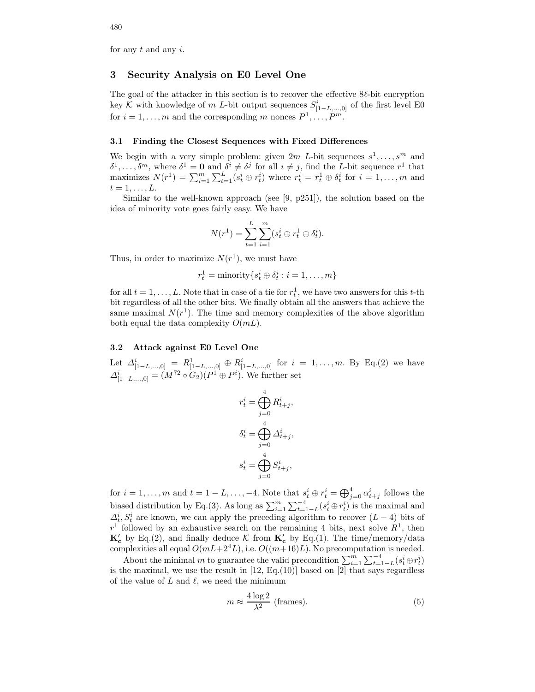for any  $t$  and any  $i$ .

# 3 Security Analysis on E0 Level One

The goal of the attacker in this section is to recover the effective  $8\ell$ -bit encryption key  $K$  with knowledge of  $m$  L-bit output sequences  $S^i_{[1-L,...,0]}$  of the first level E0 for  $i = 1, ..., m$  and the corresponding m nonces  $P^1, ..., P^m$ .

#### 3.1 Finding the Closest Sequences with Fixed Differences

We begin with a very simple problem: given  $2m$  L-bit sequences  $s^1, \ldots, s^m$  and  $\delta^1,\ldots,\delta^m$ , where  $\delta^1=\mathbf{0}$  and  $\delta^i\neq \delta^j$  for all  $i\neq j$ , find the *L*-bit sequence  $r^1$  that maximizes  $N(r^1) = \sum_{i=1}^m \sum_{t=1}^L (s_t^i \oplus r_t^i)$  where  $r_t^i = r_t^1 \oplus \delta_t^i$  for  $i = 1, \ldots, m$  and  $t=1,\ldots,L$ .

Similar to the well-known approach (see [9, p251]), the solution based on the idea of minority vote goes fairly easy. We have

$$
N(r^{1}) = \sum_{t=1}^{L} \sum_{i=1}^{m} (s_{t}^{i} \oplus r_{t}^{1} \oplus \delta_{t}^{i}).
$$

Thus, in order to maximize  $N(r<sup>1</sup>)$ , we must have

$$
r_t^1 = \text{minority}\{s_t^i \oplus \delta_t^i : i = 1, \dots, m\}
$$

for all  $t = 1, \ldots, L$ . Note that in case of a tie for  $r_t^1$ , we have two answers for this t-th bit regardless of all the other bits. We finally obtain all the answers that achieve the same maximal  $N(r<sup>1</sup>)$ . The time and memory complexities of the above algorithm both equal the data complexity  $O(mL)$ .

### 3.2 Attack against E0 Level One

Let  $\Delta^i_{[1-L,\ldots,0]} = R^1_{[1-L,\ldots,0]} \oplus R^i_{[1-L,\ldots,0]}$  for  $i = 1,\ldots,m$ . By Eq.(2) we have  $\Delta^i_{[1-L,\ldots,0]} = (M^{72} \circ G_2)(P^1 \oplus P^i)$ . We further set

$$
r_t^i = \bigoplus_{j=0}^4 R_{t+j}^i,
$$
  
\n
$$
\delta_t^i = \bigoplus_{j=0}^4 \Delta_{t+j}^i,
$$
  
\n
$$
s_t^i = \bigoplus_{j=0}^4 S_{t+j}^i,
$$

for  $i = 1, ..., m$  and  $t = 1 - L, ..., -4$ . Note that  $s_t^i \oplus r_t^i = \bigoplus_{j=0}^4 \alpha_{t+j}^i$  follows the biased distribution by Eq.(3). As long as  $\sum_{i=1}^{m} \sum_{t=1-L}^{-4} (s_t^i \oplus r_t^i)$  is the maximal and  $\Delta_t^i$ ,  $S_t^i$  are known, we can apply the preceding algorithm to recover  $(L-4)$  bits of  $r<sup>1</sup>$  followed by an exhaustive search on the remaining 4 bits, next solve  $R<sup>1</sup>$ , then  $\mathbf{K}_{c}$  by Eq.(2), and finally deduce  $\mathcal{K}$  from  $\mathbf{K}_{c}$  by Eq.(1). The time/memory/data complexities all equal  $O(mL+2^4L)$ , i.e.  $O((m+16)L)$ . No precomputation is needed.

About the minimal m to guarantee the valid precondition  $\sum_{i=1}^{m} \sum_{t=1-L}^{-4} (s_t^i \oplus r_t^i)$ is the maximal, we use the result in  $[12, Eq.(10)]$  based on  $[2]$  that says regardless of the value of  $L$  and  $\ell$ , we need the minimum

$$
m \approx \frac{4\log 2}{\lambda^2}
$$
 (frames). (5)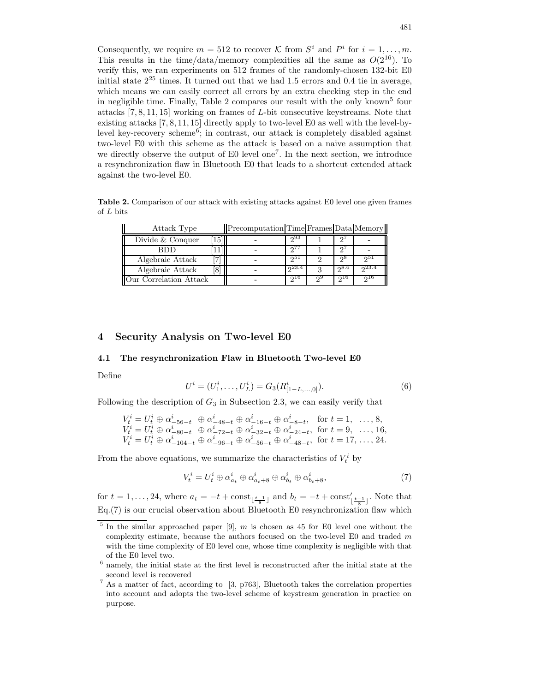Consequently, we require  $m = 512$  to recover K from  $S^i$  and  $P^i$  for  $i = 1, ..., m$ . This results in the time/data/memory complexities all the same as  $O(2^{16})$ . To verify this, we ran experiments on 512 frames of the randomly-chosen 132-bit E0 initial state  $2^{25}$  times. It turned out that we had 1.5 errors and 0.4 tie in average, which means we can easily correct all errors by an extra checking step in the end in negligible time. Finally, Table 2 compares our result with the only known<sup>5</sup> four attacks [7, 8, 11, 15] working on frames of L-bit consecutive keystreams. Note that existing attacks [7, 8, 11, 15] directly apply to two-level E0 as well with the level-bylevel key-recovery scheme<sup>6</sup>; in contrast, our attack is completely disabled against two-level E0 with this scheme as the attack is based on a naive assumption that we directly observe the output of E0 level one<sup>7</sup>. In the next section, we introduce a resynchronization flaw in Bluetooth E0 that leads to a shortcut extended attack against the two-level E0.

Table 2. Comparison of our attack with existing attacks against E0 level one given frames of L bits

| Attack Type                         | Precomputation Time Frames Data Memory |            |      |        |
|-------------------------------------|----------------------------------------|------------|------|--------|
| Divide & Conquer<br>15 <sup>1</sup> |                                        | ი93        |      |        |
| <b>RDD</b>                          |                                        |            |      |        |
| Algebraic Attack                    |                                        | ചാ         | റ്റ് | ചാ     |
| Algebraic Attack                    |                                        | $0^{23.4}$ | ი8.6 | 0.23.4 |
| <b>Our Correlation Attack</b>       |                                        | 210        | 0.16 | 010    |

### 4 Security Analysis on Two-level E0

### 4.1 The resynchronization Flaw in Bluetooth Two-level E0

Define

$$
U^i = (U_1^i, \dots, U_L^i) = G_3(R_{[1-L,\dots,0]}^i).
$$
\n<sup>(6)</sup>

Following the description of  $G_3$  in Subsection 2.3, we can easily verify that

$$
V_t^i = U_t^i \oplus \alpha_{-56-t}^i \oplus \alpha_{-48-t}^i \oplus \alpha_{-16-t}^i \oplus \alpha_{-8-t}^i, \text{ for } t = 1, ..., 8,
$$
  
\n
$$
V_t^i = U_t^i \oplus \alpha_{-80-t}^i \oplus \alpha_{-72-t}^i \oplus \alpha_{-32-t}^i \oplus \alpha_{-24-t}^i, \text{ for } t = 9, ..., 16,
$$
  
\n
$$
V_t^i = U_t^i \oplus \alpha_{-104-t}^i \oplus \alpha_{-96-t}^i \oplus \alpha_{-56-t}^i \oplus \alpha_{-48-t}^i, \text{ for } t = 17, ..., 24.
$$

From the above equations, we summarize the characteristics of  $V_t^i$  by

$$
V_t^i = U_t^i \oplus \alpha_{a_t}^i \oplus \alpha_{a_t+8}^i \oplus \alpha_{b_t}^i \oplus \alpha_{b_t+8}^i,\tag{7}
$$

for  $t = 1, \ldots, 24$ , where  $a_t = -t + \text{const}_{\lfloor \frac{t-1}{8} \rfloor}$  and  $b_t = -t + \text{const}_{\lfloor \frac{t-1}{8} \rfloor}$ . Note that Eq.(7) is our crucial observation about Bluetooth E0 resynchronization flaw which

 $5$  In the similar approached paper [9], m is chosen as 45 for E0 level one without the complexity estimate, because the authors focused on the two-level  $E0$  and traded  $m$ with the time complexity of E0 level one, whose time complexity is negligible with that of the E0 level two.

 $6$  namely, the initial state at the first level is reconstructed after the initial state at the second level is recovered

 $^7$  As a matter of fact, according to [3, p763], Bluetooth takes the correlation properties into account and adopts the two-level scheme of keystream generation in practice on purpose.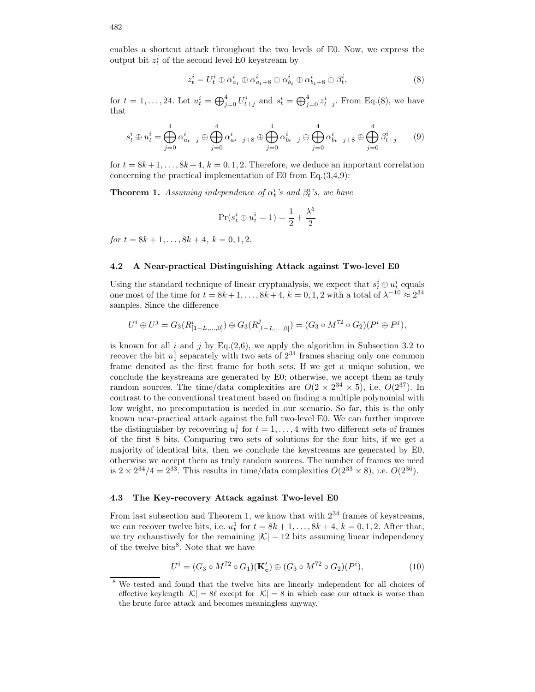enables a shortcut attack throughout the two levels of E0. Now, we express the output bit  $z_t^i$  of the second level E0 keystream by

$$
z_t^i = U_t^i \oplus \alpha_{a_t}^i \oplus \alpha_{a_t+8}^i \oplus \alpha_{b_t}^i \oplus \alpha_{b_t+8}^i \oplus \beta_t^i, \tag{8}
$$

for  $t = 1, ..., 24$ . Let  $u_t^i = \bigoplus_{j=0}^4 U_{t+j}^i$  and  $s_t^i = \bigoplus_{j=0}^4 z_{t+j}^i$ . From Eq.(8), we have that

$$
s_t^i \oplus u_t^i = \bigoplus_{j=0}^4 \alpha_{a_t-j}^i \oplus \bigoplus_{j=0}^4 \alpha_{a_t-j+8}^i \oplus \bigoplus_{j=0}^4 \alpha_{b_t-j}^i \oplus \bigoplus_{j=0}^4 \alpha_{b_t-j+8}^i \oplus \bigoplus_{j=0}^4 \beta_{t+j}^i \qquad (9)
$$

for  $t = 8k+1, \ldots, 8k+4, k = 0, 1, 2$ . Therefore, we deduce an important correlation concerning the practical implementation of E0 from Eq.(3,4,9):

**Theorem 1.** Assuming independence of  $\alpha_t^i$ 's and  $\beta_t^i$ 's, we have

$$
\Pr(s_t^i \oplus u_t^i = 1) = \frac{1}{2} + \frac{\lambda^5}{2}
$$

for  $t = 8k + 1, \ldots, 8k + 4, k = 0, 1, 2$ .

#### 4.2 A Near-practical Distinguishing Attack against Two-level E0

Using the standard technique of linear cryptanalysis, we expect that  $s_t^i \oplus u_t^i$  equals one most of the time for  $t = 8k+1, \ldots, 8k+4, k = 0, 1, 2$  with a total of  $\lambda^{-10} \approx 2^{34}$ samples. Since the difference

$$
U^i \oplus U^j = G_3(R^i_{[1-L,\ldots,0]}) \oplus G_3(R^j_{[1-L,\ldots,0]}) = (G_3 \circ M^{72} \circ G_2)(P^i \oplus P^j),
$$

is known for all  $i$  and  $j$  by Eq.(2,6), we apply the algorithm in Subsection 3.2 to recover the bit  $u_1^1$  separately with two sets of  $2^{34}$  frames sharing only one common frame denoted as the first frame for both sets. If we get a unique solution, we conclude the keystreams are generated by E0; otherwise, we accept them as truly random sources. The time/data complexities are  $O(2 \times 2^{34} \times 5)$ , i.e.  $O(2^{37})$ . In contrast to the conventional treatment based on finding a multiple polynomial with low weight, no precomputation is needed in our scenario. So far, this is the only known near-practical attack against the full two-level E0. We can further improve the distinguisher by recovering  $u_t^1$  for  $t = 1, ..., 4$  with two different sets of frames of the first 8 bits. Comparing two sets of solutions for the four bits, if we get a majority of identical bits, then we conclude the keystreams are generated by E0, otherwise we accept them as truly random sources. The number of frames we need is  $2 \times 2^{34}/4 = 2^{33}$ . This results in time/data complexities  $O(2^{33} \times 8)$ , i.e.  $O(2^{36})$ .

#### 4.3 The Key-recovery Attack against Two-level E0

From last subsection and Theorem 1, we know that with  $2^{34}$  frames of keystreams, we can recover twelve bits, i.e.  $u_t^1$  for  $t = 8k + 1, \ldots, 8k + 4, k = 0, 1, 2$ . After that, we try exhaustively for the remaining  $|\mathcal{K}| - 12$  bits assuming linear independency of the twelve bits<sup>8</sup>. Note that we have

$$
U^{i} = (G_3 \circ M^{72} \circ G_1)(\mathbf{K_c'}) \oplus (G_3 \circ M^{72} \circ G_2)(P^{i}), \tag{10}
$$

<sup>8</sup> We tested and found that the twelve bits are linearly independent for all choices of effective keylength  $|\mathcal{K}| = 8\ell$  except for  $|\mathcal{K}| = 8$  in which case our attack is worse than the brute force attack and becomes meaningless anyway.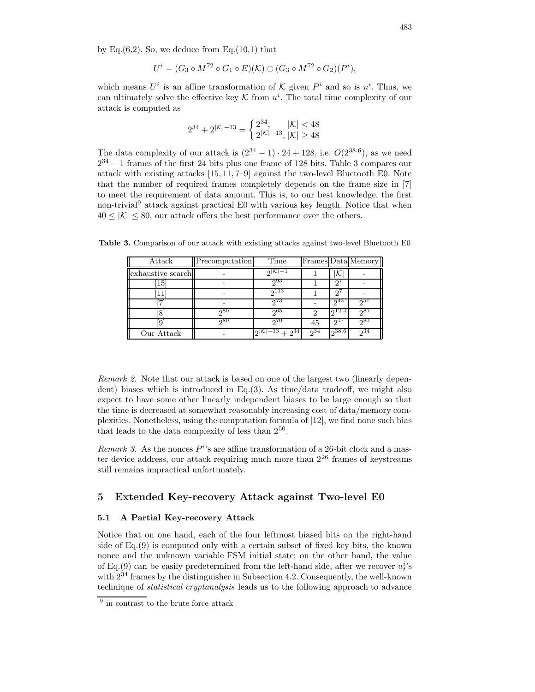by Eq. $(6,2)$ . So, we deduce from Eq. $(10,1)$  that

$$
U^{i} = (G_3 \circ M^{72} \circ G_1 \circ E)(\mathcal{K}) \oplus (G_3 \circ M^{72} \circ G_2)(P^{i}),
$$

which means  $U^i$  is an affine transformation of  $\mathcal K$  given  $P^i$  and so is  $u^i$ . Thus, we can ultimately solve the effective key  $K$  from  $u^i$ . The total time complexity of our attack is computed as

$$
2^{34} + 2^{|\mathcal{K}| - 13} = \begin{cases} 2^{34}, & |\mathcal{K}| < 48 \\ 2^{|\mathcal{K}| - 13}, & |\mathcal{K}| \ge 48 \end{cases}
$$

The data complexity of our attack is  $(2^{34} - 1) \cdot 24 + 128$ , i.e.  $O(2^{38.6})$ , as we need  $2^{34} - 1$  frames of the first 24 bits plus one frame of 128 bits. Table 3 compares our attack with existing attacks [15, 11, 7–9] against the two-level Bluetooth E0. Note that the number of required frames completely depends on the frame size in [7] to meet the requirement of data amount. This is, to our best knowledge, the first non-trivial<sup>9</sup> attack against practical E0 with various key length. Notice that when  $40 \leq |\mathcal{K}| \leq 80$ , our attack offers the best performance over the others.

| Attack            | Precomputation | Time                       |          |            | Frames Data Memory |
|-------------------|----------------|----------------------------|----------|------------|--------------------|
| exhaustive search |                | $2 \gamma $                |          | ∧          |                    |
| 15                |                | -933                       |          | ാ '        |                    |
| 11                |                | $2^{113}$                  |          | ച          |                    |
| ∽                 |                | 273                        |          | $2^{43}$   | 251                |
| 8                 | 280            | ინა                        |          | 0.12.4     | 280                |
|                   | $2^{80}$       | 270                        | 45       | $2^{17}$   | 280                |
| Our Attack        |                | $2^{ {\cal K} -13}+2^{34}$ | $2^{34}$ | $2^{38.6}$ | $2^{34}$           |

Table 3. Comparison of our attack with existing attacks against two-level Bluetooth E0

Remark 2. Note that our attack is based on one of the largest two (linearly dependent) biases which is introduced in Eq.  $(3)$ . As time/data tradeoff, we might also expect to have some other linearly independent biases to be large enough so that the time is decreased at somewhat reasonably increasing cost of data/memory complexities. Nonetheless, using the computation formula of [12], we find none such bias that leads to the data complexity of less than  $2^{50}$ .

Remark 3. As the nonces  $P^i$ 's are affine transformation of a 26-bit clock and a master device address, our attack requiring much more than  $2^{26}$  frames of keystreams still remains impractical unfortunately.

# 5 Extended Key-recovery Attack against Two-level E0

#### 5.1 A Partial Key-recovery Attack

Notice that on one hand, each of the four leftmost biased bits on the right-hand side of Eq.(9) is computed only with a certain subset of fixed key bits, the known nonce and the unknown variable FSM initial state; on the other hand, the value of Eq.(9) can be easily predetermined from the left-hand side, after we recover  $u_t^i$ 's with  $2^{34}$  frames by the distinguisher in Subsection 4.2. Consequently, the well-known technique of *statistical cryptanalysis* leads us to the following approach to advance

<sup>&</sup>lt;sup>9</sup> in contrast to the brute force attack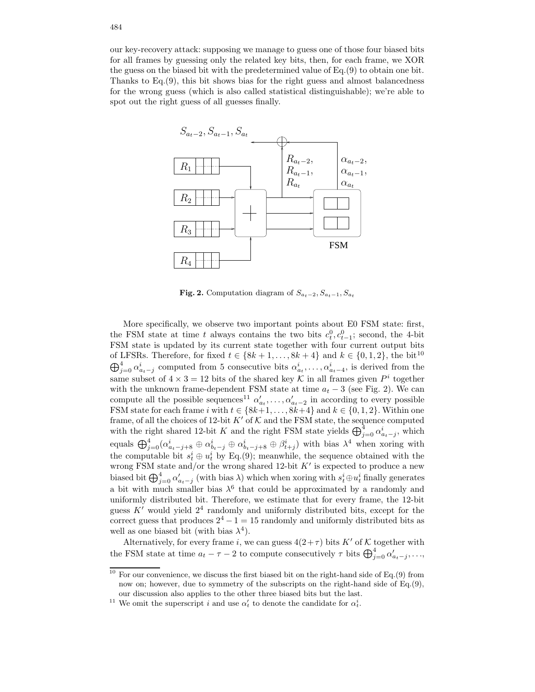our key-recovery attack: supposing we manage to guess one of those four biased bits for all frames by guessing only the related key bits, then, for each frame, we XOR the guess on the biased bit with the predetermined value of Eq.(9) to obtain one bit. Thanks to Eq.(9), this bit shows bias for the right guess and almost balancedness for the wrong guess (which is also called statistical distinguishable); we're able to spot out the right guess of all guesses finally.



Fig. 2. Computation diagram of  $S_{a_t-2}, S_{a_t-1}, S_{a_t}$ 

More specifically, we observe two important points about E0 FSM state: first, the FSM state at time t always contains the two bits  $c_t^0, c_{t-1}^0$ ; second, the 4-bit FSM state is updated by its current state together with four current output bits of LFSRs. Therefore, for fixed  $t \in \{8k+1,\ldots,8k+4\}$  and  $k \in \{0,1,2\}$ , the bit<sup>10</sup>  $\bigoplus_{j=0}^4 \alpha_{a_t-j}^i$  computed from 5 consecutive bits  $\alpha_{a_t}^i, \ldots, \alpha_{a_t-4}^i$ , is derived from the same subset of  $4 \times 3 = 12$  bits of the shared key K in all frames given  $P^i$  together with the unknown frame-dependent FSM state at time  $a_t - 3$  (see Fig. 2). We can compute all the possible sequences<sup>11</sup>  $\alpha'_{a_t}, \ldots, \alpha'_{a_t-2}$  in according to every possible FSM state for each frame i with  $t \in \{8k+1, \ldots, 8k+4\}$  and  $k \in \{0, 1, 2\}$ . Within one frame, of all the choices of 12-bit  $K'$  of  $K$  and the FSM state, the sequence computed with the right shared 12-bit K and the right FSM state yields  $\bigoplus_{j=0}^{\tilde{4}} \alpha_{a_{t-j}}^{i}$ , which equals  $\bigoplus_{j=0}^4 (\alpha^i_{a_t-j+8} \oplus \alpha^i_{b_t-j} \oplus \alpha^i_{b_t-j+8} \oplus \beta^i_{t+j})$  with bias  $\lambda^4$  when xoring with the computable bit  $s_t^i \oplus u_t^i$  by Eq.(9); meanwhile, the sequence obtained with the wrong FSM state and/or the wrong shared 12-bit  $K'$  is expected to produce a new biased bit  $\bigoplus_{j=0}^4 \alpha'_{a_t-j}$  (with bias  $\lambda$ ) which when xoring with  $s_t^i \oplus u_t^i$  finally generates a bit with much smaller bias  $\lambda^6$  that could be approximated by a randomly and uniformly distributed bit. Therefore, we estimate that for every frame, the 12-bit guess  $K'$  would yield  $2<sup>4</sup>$  randomly and uniformly distributed bits, except for the correct guess that produces  $2^4 - 1 = 15$  randomly and uniformly distributed bits as well as one biased bit (with bias  $\lambda^4$ ).

Alternatively, for every frame i, we can guess  $4(2+\tau)$  bits K' of K together with the FSM state at time  $a_t - \tau - 2$  to compute consecutively  $\tau$  bits  $\bigoplus_{j=0}^4 \alpha'_{a_t-j}, \ldots$ 

<sup>&</sup>lt;sup>10</sup> For our convenience, we discuss the first biased bit on the right-hand side of Eq.(9) from now on; however, due to symmetry of the subscripts on the right-hand side of Eq.(9), our discussion also applies to the other three biased bits but the last.

<sup>&</sup>lt;sup>11</sup> We omit the superscript *i* and use  $\alpha'_t$  to denote the candidate for  $\alpha_t^i$ .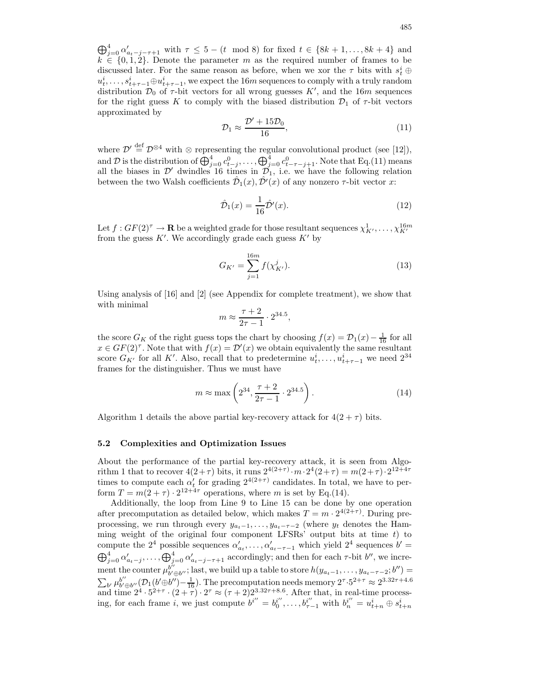$\bigoplus_{j=0}^4 \alpha'_{a_t-j-\tau+1}$  with  $\tau \leq 5-(t \mod 8)$  for fixed  $t \in \{8k+1,\ldots,8k+4\}$  and  $k \in \{0, 1, 2\}$ . Denote the parameter m as the required number of frames to be discussed later. For the same reason as before, when we xor the  $\tau$  bits with  $s_t^i \oplus$  $u_t^i, \ldots, s_{t+\tau-1}^i \oplus u_{t+\tau-1}^i$ , we expect the 16m sequences to comply with a truly random distribution  $\mathcal{D}_0$  of  $\tau$ -bit vectors for all wrong guesses K', and the 16m sequences for the right guess K to comply with the biased distribution  $\mathcal{D}_1$  of  $\tau$ -bit vectors approximated by

$$
\mathcal{D}_1 \approx \frac{\mathcal{D}' + 15\mathcal{D}_0}{16},\tag{11}
$$

where  $\mathcal{D}' \stackrel{\text{def}}{=} \mathcal{D}^{\otimes 4}$  with ⊗ representing the regular convolutional product (see [12]), and D is the distribution of  $\bigoplus_{j=0}^4 c_{t-j}^0, \ldots, \bigoplus_{j=0}^4 c_{t-\tau-j+1}^0$ . Note that Eq.(11) means all the biases in  $\mathcal{D}'$  dwindles 16 times in  $\mathcal{D}_1$ , i.e. we have the following relation between the two Walsh coefficients  $\hat{\mathcal{D}}_1(x), \hat{\mathcal{D}}'(x)$  of any nonzero  $\tau$ -bit vector x:

$$
\hat{\mathcal{D}}_1(x) = \frac{1}{16}\hat{\mathcal{D}}'(x). \tag{12}
$$

Let  $f: GF(2)^{\tau} \to \mathbf{R}$  be a weighted grade for those resultant sequences  $\chi^1_{K'}, \ldots, \chi^{16m}_{K'}$ from the guess  $K'$ . We accordingly grade each guess  $K'$  by

$$
G_{K'} = \sum_{j=1}^{16m} f(\chi_{K'}^j).
$$
 (13)

Using analysis of [16] and [2] (see Appendix for complete treatment), we show that with minimal

$$
m \approx \frac{\tau + 2}{2\tau - 1} \cdot 2^{34.5},
$$

the score  $G_K$  of the right guess tops the chart by choosing  $f(x) = \mathcal{D}_1(x) - \frac{1}{16}$  for all  $x \in GF(2)^{\tau}$ . Note that with  $f(x) = \mathcal{D}'(x)$  we obtain equivalently the same resultant score  $G_{K'}$  for all K'. Also, recall that to predetermine  $u_t^i, \ldots, u_{t+\tau-1}^i$  we need  $2^{34}$ frames for the distinguisher. Thus we must have

$$
m \approx \max\left(2^{34}, \frac{\tau + 2}{2\tau - 1} \cdot 2^{34.5}\right). \tag{14}
$$

Algorithm 1 details the above partial key-recovery attack for  $4(2 + \tau)$  bits.

#### 5.2 Complexities and Optimization Issues

About the performance of the partial key-recovery attack, it is seen from Algorithm 1 that to recover  $4(2+\tau)$  bits, it runs  $2^{4(2+\tau)} \cdot m \cdot 2^{4}(2+\tau) = m(2+\tau) \cdot 2^{12+4\tau}$ times to compute each  $\alpha'_{t}$  for grading  $2^{4(2+\tau)}$  candidates. In total, we have to perform  $T = m(2 + \tau) \cdot 2^{12+4\tau}$  operations, where m is set by Eq.(14).

Additionally, the loop from Line 9 to Line 15 can be done by one operation after precomputation as detailed below, which makes  $T = m \cdot 2^{4(2+\tau)}$ . During preprocessing, we run through every  $y_{a_t-1}, \ldots, y_{a_t-\tau-2}$  (where  $y_t$  denotes the Hamming weight of the original four component LFSRs' output bits at time  $t$ ) to compute the  $2^4$  possible sequences  $\alpha'_{a_t}, \ldots, \alpha'_{a_t - \tau - 1}$  which yield  $2^4$  sequences  $b' =$  $\bigoplus_{j=0}^4 \alpha'_{a_t-j}, \ldots, \bigoplus_{j=0}^4 \alpha'_{a_t-j-\tau+1}$  accordingly; and then for each  $\tau$ -bit  $b''$ , we increment the counter  $\mu_{b'c}^{b''}$  $b''_{b'\oplus b''}$ ; last, we build up a table to store  $h(y_{a_t-1}, \ldots, y_{a_t-\tau-2}; b'') =$  $\sum_{b'} \mu_{b'}^{b''}$  $b''_{b'\oplus b''}(D_1(b'\oplus b'')-\frac{1}{16})$ . The precomputation needs memory  $2^{\tau}\cdot5^{2+\tau}\approx2^{3.32\tau+4.6}$ and time  $2^4 \cdot 5^{2+\tau} \cdot (2+\tau) \cdot 2^{\tau} \approx (\tau+2) 2^{3.32\tau+8.6}$ . After that, in real-time processing, for each frame i, we just compute  $b^{i''} = b_0^{i''}$  $b_0^{i''}, \ldots, b_{\tau-1}^{i''}$  with  $b_n^{i''} = u_{t+n}^i \oplus s_{t+n}^i$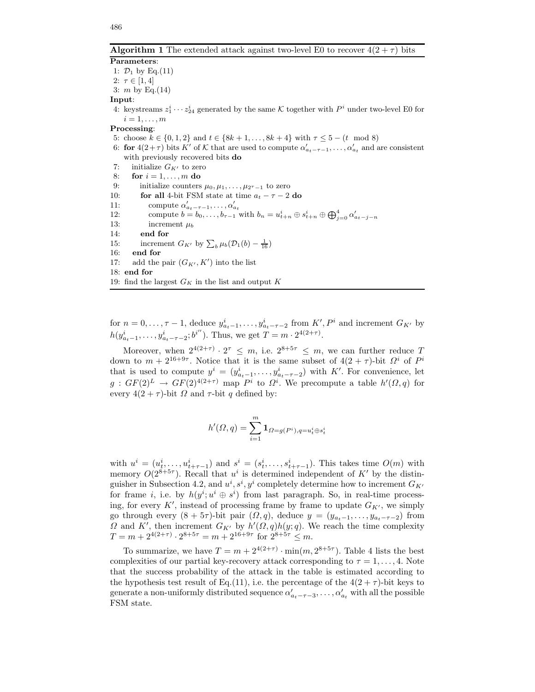**Algorithm 1** The extended attack against two-level E0 to recover  $4(2+\tau)$  bits

Parameters: 1:  $D_1$  by Eq.(11) 2:  $\tau \in [1, 4]$ 3:  $m$  by Eq.(14)

#### Input:

4: keystreams  $z_1^i \cdots z_{24}^i$  generated by the same K together with  $P^i$  under two-level E0 for  $i=1,\ldots,m$ 

#### Processing:

5: choose  $k \in \{0, 1, 2\}$  and  $t \in \{8k + 1, ..., 8k + 4\}$  with  $\tau \le 5 - (t \mod 8)$ 

- 6: for  $4(2+\tau)$  bits K' of K that are used to compute  $\alpha'_{a_t-\tau-1}, \ldots, \alpha'_{a_t}$  and are consistent with previously recovered bits do
- 7: initialize  $G_{K'}$  to zero
- 8: for  $i = 1, \ldots, m$  do
- 9: initialize counters  $\mu_0, \mu_1, \ldots, \mu_{2^{\tau}-1}$  to zero
- 10: **for all** 4-bit FSM state at time  $a_t \tau 2$  do
- 11: compute  $\alpha'_{a_t-\tau-1}, \ldots, \alpha'_{a_t}$
- 12: compute  $b = b_0, ..., b_{\tau-1}$  with  $b_n = u^i_{t+n} \oplus s^i_{t+n} \oplus \bigoplus_{j=0}^4 \alpha'_{a_{t-j-n}}$
- 13: increment  $\mu_b$ 14: end for
- 15: increment  $G_{K'}$  by  $\sum_{b} \mu_b(\mathcal{D}_1(b) \frac{1}{16})$
- 16: end for
- 17: add the pair  $(G_{K'}, K')$  into the list
- 18: end for
- 19: find the largest  $G_K$  in the list and output  $K$

for  $n = 0, \ldots, \tau - 1$ , deduce  $y_{a_t-1}^i, \ldots, y_{a_t-\tau-2}^i$  from  $K', P^i$  and increment  $G_{K'}$  by  $h(y_{a_{t-1}}^i, \ldots, y_{a_{t-\tau-2}}^i; b^{i''})$ . Thus, we get  $T = m \cdot 2^{4(2+\tau)}$ .

Moreover, when  $2^{4(2+\tau)} \cdot 2^{\tau} \leq m$ , i.e.  $2^{8+5\tau} \leq m$ , we can further reduce T down to  $m+2^{16+9\tau}$ . Notice that it is the same subset of  $4(2+\tau)$ -bit  $\Omega^i$  of  $P^i$ that is used to compute  $y^i = (y_{a_t-1}^i, \ldots, y_{a_t-\tau-2}^i)$  with K'. For convenience, let  $g: GF(2)^{L} \rightarrow GF(2)^{4(2+\tau)}$  map  $P^{i}$  to  $\Omega^{i}$ . We precompute a table  $h'(\Omega, q)$  for every  $4(2 + \tau)$ -bit  $\Omega$  and  $\tau$ -bit  $q$  defined by:

$$
h'(\varOmega,q)=\sum_{i=1}^m \mathbf{1}_{\varOmega=g(P^i),q=u^i_t\oplus s^i_t}
$$

with  $u^i = (u^i_{t}, \ldots, u^i_{t+\tau-1})$  and  $s^i = (s^i_t, \ldots, s^i_{t+\tau-1})$ . This takes time  $O(m)$  with memory  $O(2^{8+5\tau})$ . Recall that  $u^i$  is determined independent of K' by the distinguisher in Subsection 4.2, and  $u^i, s^i, y^i$  completely determine how to increment  $G_{K'}$ for frame *i*, i.e. by  $h(y^i; u^i \oplus s^i)$  from last paragraph. So, in real-time processing, for every K', instead of processing frame by frame to update  $G_{K'}$ , we simply go through every  $(8 + 5\tau)$ -bit pair  $(\Omega, q)$ , deduce  $y = (y_{a_t-1}, \ldots, y_{a_t-\tau-2})$  from  $\Omega$  and K', then increment  $G_{K'}$  by  $h'(\Omega, q)h(y; q)$ . We reach the time complexity  $T = m + 2^{4(2+\tau)} \cdot 2^{8+5\tau} = m + 2^{16+9\tau}$  for  $2^{8+5\tau} \le m$ .

To summarize, we have  $T = m + 2^{4(2+\tau)} \cdot \min(m, 2^{8+5\tau})$ . Table 4 lists the best complexities of our partial key-recovery attack corresponding to  $\tau = 1, \ldots, 4$ . Note that the success probability of the attack in the table is estimated according to the hypothesis test result of Eq.(11), i.e. the percentage of the  $4(2+\tau)$ -bit keys to generate a non-uniformly distributed sequence  $\alpha'_{a_t-\tau-3}, \ldots, \alpha'_{a_t}$  with all the possible FSM state.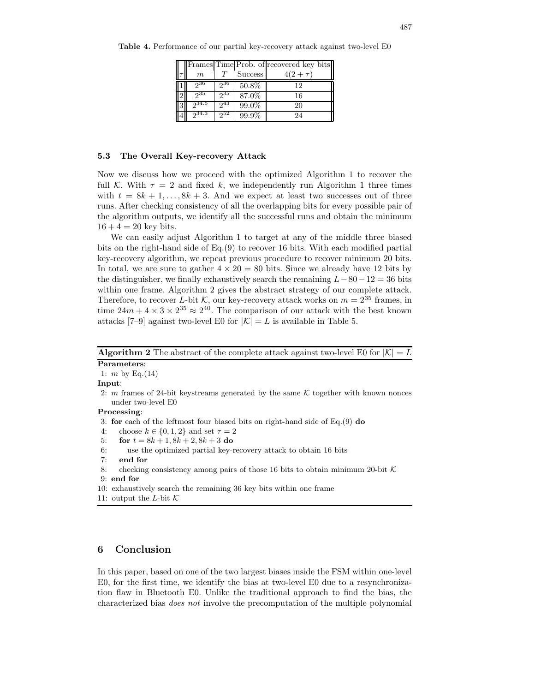|  |            |          |                | Frames Time Prob. of recovered key bits |
|--|------------|----------|----------------|-----------------------------------------|
|  | m          |          | <b>Success</b> | $4(2 + \tau)$                           |
|  | -936       | ე36      | 50.8%          | 12                                      |
|  | ე35        | $2^{35}$ | 87.0%          | 16                                      |
|  | $2^{34.5}$ | $2^{43}$ | 99.0%          | 20                                      |
|  | ე34.3      | 252      | 99.9%          | 24                                      |

Table 4. Performance of our partial key-recovery attack against two-level E0

#### 5.3 The Overall Key-recovery Attack

Now we discuss how we proceed with the optimized Algorithm 1 to recover the full K. With  $\tau = 2$  and fixed k, we independently run Algorithm 1 three times with  $t = 8k + 1, \ldots, 8k + 3$ . And we expect at least two successes out of three runs. After checking consistency of all the overlapping bits for every possible pair of the algorithm outputs, we identify all the successful runs and obtain the minimum  $16 + 4 = 20$  key bits.

We can easily adjust Algorithm 1 to target at any of the middle three biased bits on the right-hand side of Eq.(9) to recover 16 bits. With each modified partial key-recovery algorithm, we repeat previous procedure to recover minimum 20 bits. In total, we are sure to gather  $4 \times 20 = 80$  bits. Since we already have 12 bits by the distinguisher, we finally exhaustively search the remaining  $L-80-12=36$  bits within one frame. Algorithm 2 gives the abstract strategy of our complete attack. Therefore, to recover L-bit K, our key-recovery attack works on  $m = 2^{35}$  frames, in time  $24m + 4 \times 3 \times 2^{35} \approx 2^{40}$ . The comparison of our attack with the best known attacks [7–9] against two-level E0 for  $|\mathcal{K}| = L$  is available in Table 5.

**Algorithm 2** The abstract of the complete attack against two-level E0 for  $|\mathcal{K}| = L$ Parameters:

1: *m* by Eq. $(14)$ 

Input:

2:  $m$  frames of 24-bit keystreams generated by the same  $K$  together with known nonces under two-level E0

#### Processing:

3: for each of the leftmost four biased bits on right-hand side of  $Eq.(9)$  do

4: choose  $k \in \{0, 1, 2\}$  and set  $\tau = 2$ 

5: for  $t = 8k + 1, 8k + 2, 8k + 3$  do

6: use the optimized partial key-recovery attack to obtain 16 bits

7: end for

8: checking consistency among pairs of those 16 bits to obtain minimum 20-bit  $\mathcal K$ 9: end for

- 10: exhaustively search the remaining 36 key bits within one frame
- 11: output the L-bit  $\mathcal K$

# 6 Conclusion

In this paper, based on one of the two largest biases inside the FSM within one-level E0, for the first time, we identify the bias at two-level E0 due to a resynchronization flaw in Bluetooth E0. Unlike the traditional approach to find the bias, the characterized bias does not involve the precomputation of the multiple polynomial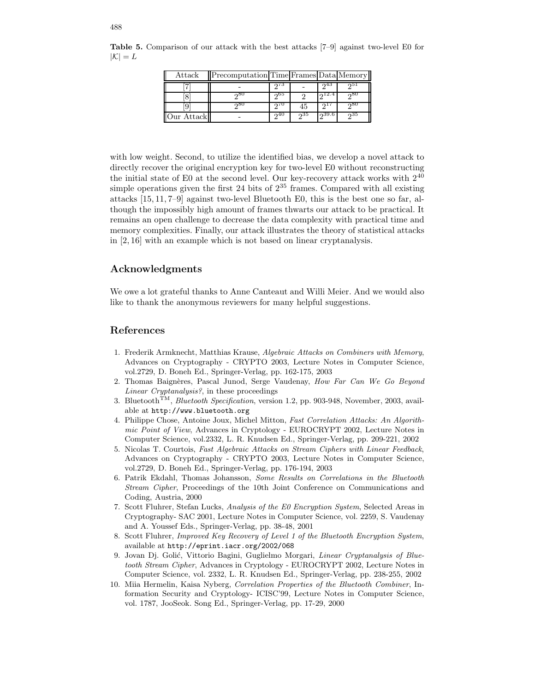| Attack     | Precomputation Time Frames Data Memory |      |     |       |      |
|------------|----------------------------------------|------|-----|-------|------|
| Ϋ́π        |                                        | ച്ച  |     | റ്4ാ  | ച്ച  |
|            | ച80                                    | ინა  |     | 12.4  | റ80  |
|            | റ്റ്                                   |      | 45  |       | റ്റ് |
| Our Attack |                                        | ິດ40 | ე35 | 239.6 | ი35  |

Table 5. Comparison of our attack with the best attacks [7–9] against two-level E0 for  $|\mathcal{K}| = L$ 

with low weight. Second, to utilize the identified bias, we develop a novel attack to directly recover the original encryption key for two-level E0 without reconstructing the initial state of E0 at the second level. Our key-recovery attack works with  $2^{40}$ simple operations given the first 24 bits of 2 <sup>35</sup> frames. Compared with all existing attacks [15, 11, 7–9] against two-level Bluetooth E0, this is the best one so far, although the impossibly high amount of frames thwarts our attack to be practical. It remains an open challenge to decrease the data complexity with practical time and memory complexities. Finally, our attack illustrates the theory of statistical attacks in [2, 16] with an example which is not based on linear cryptanalysis.

# Acknowledgments

We owe a lot grateful thanks to Anne Canteaut and Willi Meier. And we would also like to thank the anonymous reviewers for many helpful suggestions.

# References

- 1. Frederik Armknecht, Matthias Krause, Algebraic Attacks on Combiners with Memory, Advances on Cryptography - CRYPTO 2003, Lecture Notes in Computer Science, vol.2729, D. Boneh Ed., Springer-Verlag, pp. 162-175, 2003
- 2. Thomas Baignères, Pascal Junod, Serge Vaudenay, How Far Can We Go Beyond Linear Cryptanalysis?, in these proceedings
- 3. Bluetooth<sup>TM</sup>, *Bluetooth Specification*, version 1.2, pp. 903-948, November, 2003, available at http://www.bluetooth.org
- 4. Philippe Chose, Antoine Joux, Michel Mitton, Fast Correlation Attacks: An Algorithmic Point of View, Advances in Cryptology - EUROCRYPT 2002, Lecture Notes in Computer Science, vol.2332, L. R. Knudsen Ed., Springer-Verlag, pp. 209-221, 2002
- 5. Nicolas T. Courtois, Fast Algebraic Attacks on Stream Ciphers with Linear Feedback, Advances on Cryptography - CRYPTO 2003, Lecture Notes in Computer Science, vol.2729, D. Boneh Ed., Springer-Verlag, pp. 176-194, 2003
- 6. Patrik Ekdahl, Thomas Johansson, Some Results on Correlations in the Bluetooth Stream Cipher, Proceedings of the 10th Joint Conference on Communications and Coding, Austria, 2000
- 7. Scott Fluhrer, Stefan Lucks, Analysis of the E0 Encryption System, Selected Areas in Cryptography- SAC 2001, Lecture Notes in Computer Science, vol. 2259, S. Vaudenay and A. Youssef Eds., Springer-Verlag, pp. 38-48, 2001
- 8. Scott Fluhrer, Improved Key Recovery of Level 1 of the Bluetooth Encryption System, available at http://eprint.iacr.org/2002/068
- 9. Jovan Dj. Golić, Vittorio Bagini, Guglielmo Morgari, Linear Cryptanalysis of Bluetooth Stream Cipher, Advances in Cryptology - EUROCRYPT 2002, Lecture Notes in Computer Science, vol. 2332, L. R. Knudsen Ed., Springer-Verlag, pp. 238-255, 2002
- 10. Miia Hermelin, Kaisa Nyberg, Correlation Properties of the Bluetooth Combiner, Information Security and Cryptology- ICISC'99, Lecture Notes in Computer Science, vol. 1787, JooSeok. Song Ed., Springer-Verlag, pp. 17-29, 2000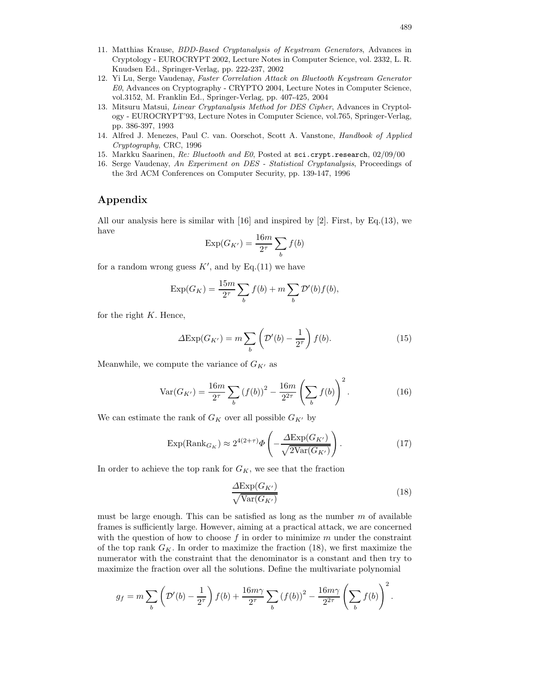- 11. Matthias Krause, BDD-Based Cryptanalysis of Keystream Generators, Advances in Cryptology - EUROCRYPT 2002, Lecture Notes in Computer Science, vol. 2332, L. R. Knudsen Ed., Springer-Verlag, pp. 222-237, 2002
- 12. Yi Lu, Serge Vaudenay, Faster Correlation Attack on Bluetooth Keystream Generator E0, Advances on Cryptography - CRYPTO 2004, Lecture Notes in Computer Science, vol.3152, M. Franklin Ed., Springer-Verlag, pp. 407-425, 2004
- 13. Mitsuru Matsui, Linear Cryptanalysis Method for DES Cipher, Advances in Cryptology - EUROCRYPT'93, Lecture Notes in Computer Science, vol.765, Springer-Verlag, pp. 386-397, 1993
- 14. Alfred J. Menezes, Paul C. van. Oorschot, Scott A. Vanstone, Handbook of Applied Cryptography, CRC, 1996
- 15. Markku Saarinen, Re: Bluetooth and E0, Posted at sci.crypt.research, 02/09/00
- 16. Serge Vaudenay, An Experiment on DES Statistical Cryptanalysis, Proceedings of the 3rd ACM Conferences on Computer Security, pp. 139-147, 1996

# Appendix

All our analysis here is similar with [16] and inspired by [2]. First, by Eq.(13), we have

$$
\operatorname{Exp}(G_{K'}) = \frac{16m}{2^{\tau}} \sum_{b} f(b)
$$

for a random wrong guess  $K'$ , and by Eq.(11) we have

$$
Exp(G_K) = \frac{15m}{2^{\tau}} \sum_{b} f(b) + m \sum_{b} \mathcal{D}'(b) f(b),
$$

for the right  $K$ . Hence,

$$
\Delta \text{Exp}(G_{K'}) = m \sum_{b} \left( \mathcal{D}'(b) - \frac{1}{2^{\tau}} \right) f(b). \tag{15}
$$

Meanwhile, we compute the variance of  $G_{K'}$  as

$$
\text{Var}(G_{K'}) = \frac{16m}{2^{\tau}} \sum_{b} (f(b))^2 - \frac{16m}{2^{2\tau}} \left(\sum_{b} f(b)\right)^2.
$$
 (16)

We can estimate the rank of  $G_K$  over all possible  $G_{K^\prime}$  by

$$
\exp(\text{Rank}_{G_K}) \approx 2^{4(2+\tau)} \Phi\left(-\frac{\Delta \exp(G_{K'})}{\sqrt{2\text{Var}(G_{K'})}}\right). \tag{17}
$$

In order to achieve the top rank for  $G_K$ , we see that the fraction

$$
\frac{\Delta \text{Exp}(G_{K'})}{\sqrt{\text{Var}(G_{K'})}}\tag{18}
$$

must be large enough. This can be satisfied as long as the number  $m$  of available frames is sufficiently large. However, aiming at a practical attack, we are concerned with the question of how to choose  $f$  in order to minimize  $m$  under the constraint of the top rank  $G_K$ . In order to maximize the fraction (18), we first maximize the numerator with the constraint that the denominator is a constant and then try to maximize the fraction over all the solutions. Define the multivariate polynomial

$$
g_f = m \sum_b \left( \mathcal{D}'(b) - \frac{1}{2^{\tau}} \right) f(b) + \frac{16m\gamma}{2^{\tau}} \sum_b \left( f(b) \right)^2 - \frac{16m\gamma}{2^{2\tau}} \left( \sum_b f(b) \right)^2.
$$